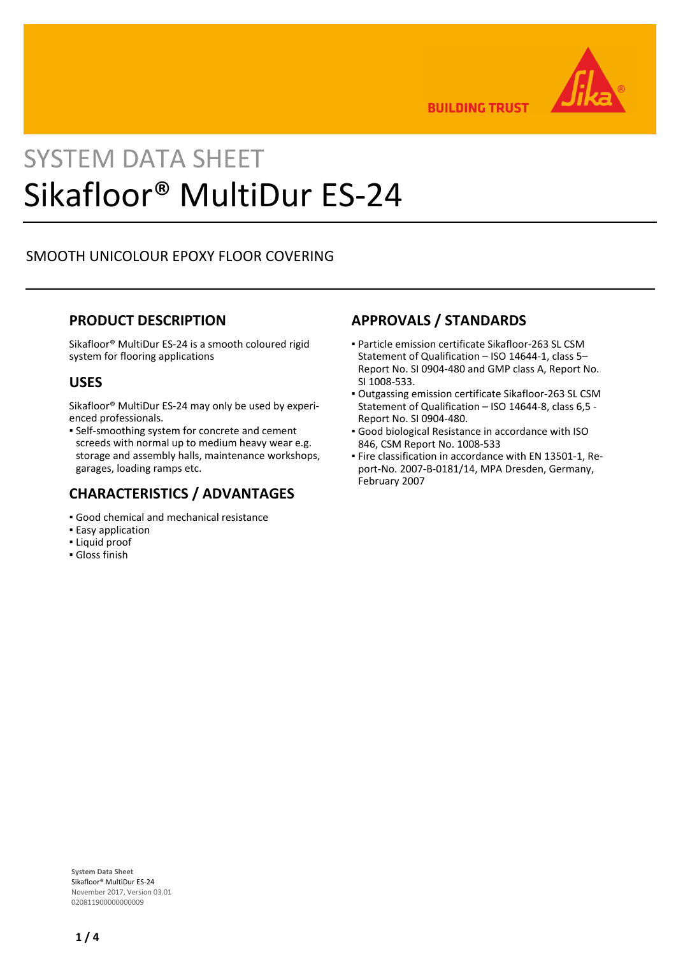

**BUILDING TRUST** 

# SYSTEM DATA SHEET Sikafloor® MultiDur ES-24

## SMOOTH UNICOLOUR EPOXY FLOOR COVERING

### **PRODUCT DESCRIPTION**

Sikafloor® MultiDur ES-24 is a smooth coloured rigid system for flooring applications

### **USES**

Sikafloor® MultiDur ES-24 may only be used by experienced professionals.

**• Self-smoothing system for concrete and cement** screeds with normal up to medium heavy wear e.g. storage and assembly halls, maintenance workshops, garages, loading ramps etc.

## **CHARACTERISTICS / ADVANTAGES**

- Good chemical and mechanical resistance
- **Easy application**
- Liquid proof
- Gloss finish

## **APPROVALS / STANDARDS**

- Particle emission certificate Sikafloor-263 SL CSM Statement of Qualification – ISO 14644-1, class 5– Report No. SI 0904-480 and GMP class A, Report No. SI 1008-533.
- Outgassing emission certificate Sikafloor-263 SL CSM Statement of Qualification – ISO 14644-8, class 6,5 - Report No. SI 0904-480.
- Good biological Resistance in accordance with ISO 846, CSM Report No. 1008-533
- Fire classification in accordance with EN 13501-1, Re-▪ port-No. 2007-B-0181/14, MPA Dresden, Germany, February 2007

**System Data Sheet** Sikafloor® MultiDur ES-24 November 2017, Version 03.01 020811900000000009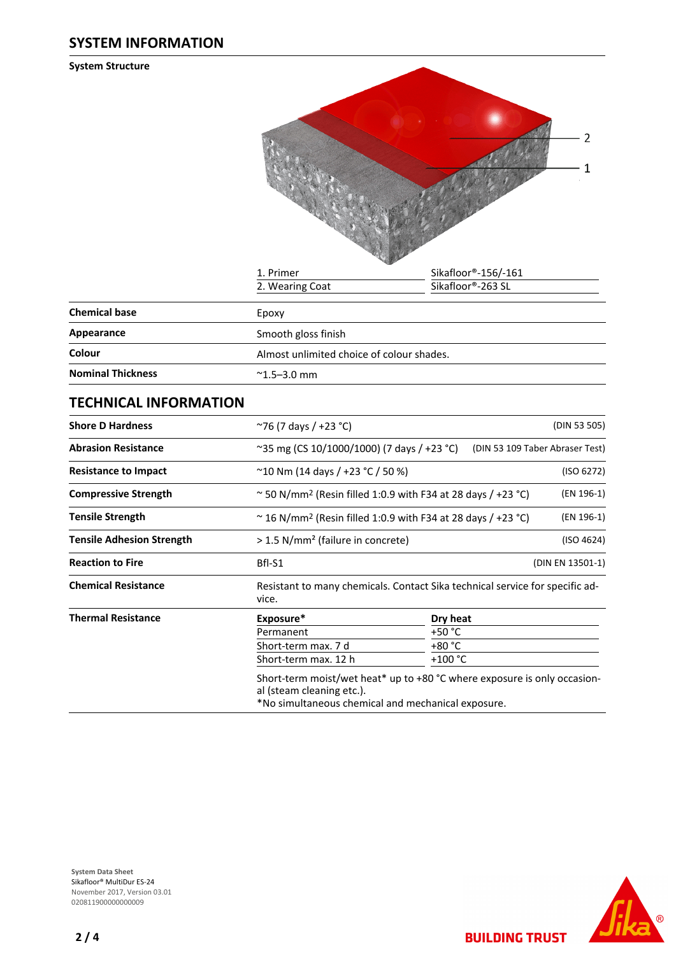**System Structure**



|                          | .                                         |  |  |
|--------------------------|-------------------------------------------|--|--|
| <b>Chemical base</b>     | Epoxy                                     |  |  |
| Appearance               | Smooth gloss finish                       |  |  |
| Colour                   | Almost unlimited choice of colour shades. |  |  |
| <b>Nominal Thickness</b> | $^{\sim}$ 1.5–3.0 mm                      |  |  |

## **TECHNICAL INFORMATION**

| <b>Shore D Hardness</b>          | ~76 (7 days / +23 °C)                                                           |                                                                               | (DIN 53 505) |  |  |
|----------------------------------|---------------------------------------------------------------------------------|-------------------------------------------------------------------------------|--------------|--|--|
| <b>Abrasion Resistance</b>       |                                                                                 | ~35 mg (CS 10/1000/1000) (7 days / +23 °C)<br>(DIN 53 109 Taber Abraser Test) |              |  |  |
| <b>Resistance to Impact</b>      |                                                                                 | $^{\sim}$ 10 Nm (14 days / +23 °C / 50 %)                                     |              |  |  |
| <b>Compressive Strength</b>      |                                                                                 | $\sim$ 50 N/mm <sup>2</sup> (Resin filled 1:0.9 with F34 at 28 days / +23 °C) |              |  |  |
| <b>Tensile Strength</b>          | $\sim$ 16 N/mm <sup>2</sup> (Resin filled 1:0.9 with F34 at 28 days / +23 °C)   | (EN 196-1)                                                                    |              |  |  |
| <b>Tensile Adhesion Strength</b> |                                                                                 | > 1.5 N/mm <sup>2</sup> (failure in concrete)                                 |              |  |  |
| <b>Reaction to Fire</b>          | Bfl-S1                                                                          | (DIN EN 13501-1)                                                              |              |  |  |
| <b>Chemical Resistance</b>       | vice.                                                                           | Resistant to many chemicals. Contact Sika technical service for specific ad-  |              |  |  |
| <b>Thermal Resistance</b>        | Exposure*                                                                       | Dry heat                                                                      |              |  |  |
|                                  | Permanent                                                                       | +50 °C                                                                        |              |  |  |
|                                  | Short-term max. 7 d                                                             | +80 °C                                                                        |              |  |  |
|                                  | Short-term max. 12 h                                                            | +100 $^{\circ}$ C                                                             |              |  |  |
|                                  | al (steam cleaning etc.).<br>*No simultaneous chemical and mechanical exposure. | Short-term moist/wet heat* up to +80 °C where exposure is only occasion-      |              |  |  |



**BUILDING TRUST** 

**System Data Sheet** Sikafloor® MultiDur ES-24 November 2017, Version 03.01 0208119000000000009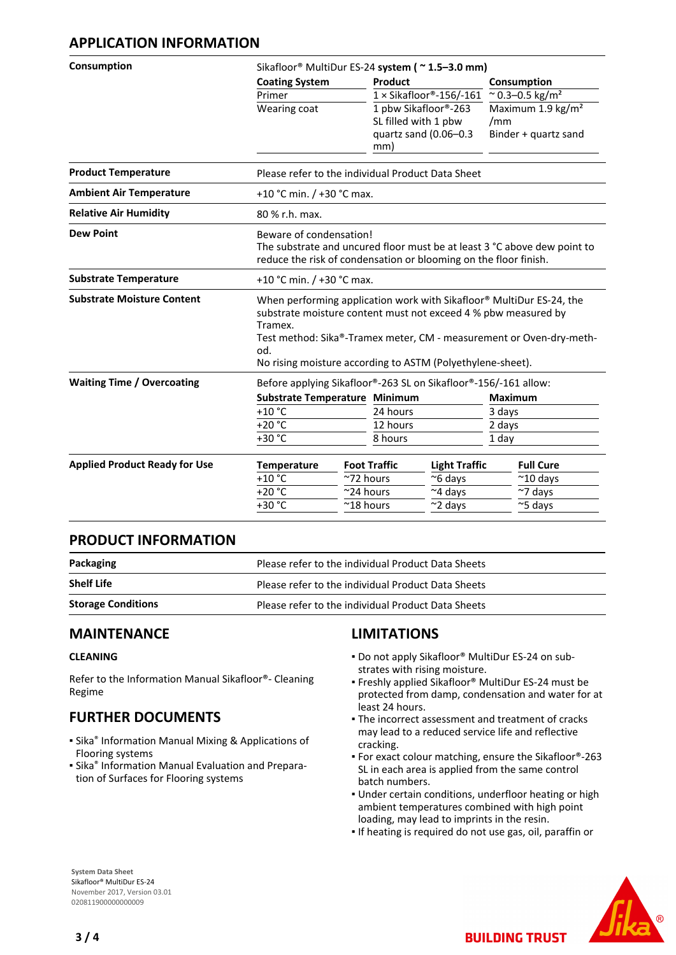### **APPLICATION INFORMATION**

| Consumption                          | Sikafloor® MultiDur ES-24 system (~1.5-3.0 mm)                  |                                                                                                                                                                                                                                                                             |                                              |                                      |  |  |
|--------------------------------------|-----------------------------------------------------------------|-----------------------------------------------------------------------------------------------------------------------------------------------------------------------------------------------------------------------------------------------------------------------------|----------------------------------------------|--------------------------------------|--|--|
|                                      | <b>Coating System</b>                                           | Product                                                                                                                                                                                                                                                                     |                                              | Consumption                          |  |  |
|                                      | Primer                                                          |                                                                                                                                                                                                                                                                             | $1 \times$ Sikafloor®-156/-161               | $^{\sim}$ 0.3-0.5 kg/m <sup>2</sup>  |  |  |
|                                      | Wearing coat                                                    |                                                                                                                                                                                                                                                                             | 1 pbw Sikafloor®-263<br>SL filled with 1 pbw | Maximum 1.9 kg/m <sup>2</sup><br>/mm |  |  |
|                                      |                                                                 | mm)                                                                                                                                                                                                                                                                         | quartz sand (0.06-0.3                        | Binder + quartz sand                 |  |  |
| <b>Product Temperature</b>           |                                                                 | Please refer to the individual Product Data Sheet                                                                                                                                                                                                                           |                                              |                                      |  |  |
| <b>Ambient Air Temperature</b>       |                                                                 | +10 °C min. / +30 °C max.                                                                                                                                                                                                                                                   |                                              |                                      |  |  |
| <b>Relative Air Humidity</b>         | 80 % r.h. max.                                                  |                                                                                                                                                                                                                                                                             |                                              |                                      |  |  |
| <b>Dew Point</b>                     |                                                                 | Beware of condensation!<br>The substrate and uncured floor must be at least 3 °C above dew point to<br>reduce the risk of condensation or blooming on the floor finish.                                                                                                     |                                              |                                      |  |  |
| <b>Substrate Temperature</b>         |                                                                 | +10 °C min. / +30 °C max.                                                                                                                                                                                                                                                   |                                              |                                      |  |  |
| <b>Substrate Moisture Content</b>    | Tramex.<br>od.                                                  | When performing application work with Sikafloor® MultiDur ES-24, the<br>substrate moisture content must not exceed 4 % pbw measured by<br>Test method: Sika®-Tramex meter, CM - measurement or Oven-dry-meth-<br>No rising moisture according to ASTM (Polyethylene-sheet). |                                              |                                      |  |  |
| <b>Waiting Time / Overcoating</b>    | Before applying Sikafloor®-263 SL on Sikafloor®-156/-161 allow: |                                                                                                                                                                                                                                                                             |                                              |                                      |  |  |
|                                      |                                                                 | Substrate Temperature Minimum                                                                                                                                                                                                                                               |                                              | <b>Maximum</b>                       |  |  |
|                                      | $+10$ °C                                                        | 24 hours                                                                                                                                                                                                                                                                    |                                              | 3 days                               |  |  |
|                                      | $+20 °C$                                                        | 12 hours                                                                                                                                                                                                                                                                    |                                              | 2 days                               |  |  |
|                                      | +30 °C                                                          | 8 hours                                                                                                                                                                                                                                                                     |                                              | 1 day                                |  |  |
| <b>Applied Product Ready for Use</b> | <b>Temperature</b>                                              | <b>Foot Traffic</b>                                                                                                                                                                                                                                                         | <b>Light Traffic</b>                         | <b>Full Cure</b>                     |  |  |
|                                      | $+10$ °C                                                        | ~72 hours                                                                                                                                                                                                                                                                   | ~6 days                                      | $~10$ days                           |  |  |
|                                      | $+20 °C$                                                        | ~24 hours                                                                                                                                                                                                                                                                   | ~4 days                                      | $~\sim$ 7 days                       |  |  |
|                                      | $+30 °C$                                                        | $^{\sim}$ 18 hours                                                                                                                                                                                                                                                          | $\sim$ 2 days                                | $\approx$ 5 days                     |  |  |

#### **PRODUCT INFORMATION**

| Packaging                 | Please refer to the individual Product Data Sheets |
|---------------------------|----------------------------------------------------|
| <b>Shelf Life</b>         | Please refer to the individual Product Data Sheets |
| <b>Storage Conditions</b> | Please refer to the individual Product Data Sheets |

#### **MAINTENANCE**

#### **CLEANING**

Refer to the Information Manual Sikafloor®- Cleaning Regime

## **FURTHER DOCUMENTS**

- **Sika<sup>®</sup> Information Manual Mixing & Applications of** Flooring systems
- **E** Sika<sup>®</sup> Information Manual Evaluation and Preparation of Surfaces for Flooring systems

## **LIMITATIONS**

- Do not apply Sikafloor® MultiDur ES-24 on sub-▪ strates with rising moisture.
- Freshly applied Sikafloor® MultiDur ES-24 must be protected from damp, condensation and water for at least 24 hours.
- **The incorrect assessment and treatment of cracks** may lead to a reduced service life and reflective cracking.
- For exact colour matching, ensure the Sikafloor®-263 SL in each area is applied from the same control batch numbers.
- **.** Under certain conditions, underfloor heating or high ambient temperatures combined with high point loading, may lead to imprints in the resin.
- If heating is required do not use gas, oil, paraffin or

**BUILDING TRUST** 



**System Data Sheet** Sikafloor® MultiDur ES-24 November 2017, Version 03.01 020811900000000009